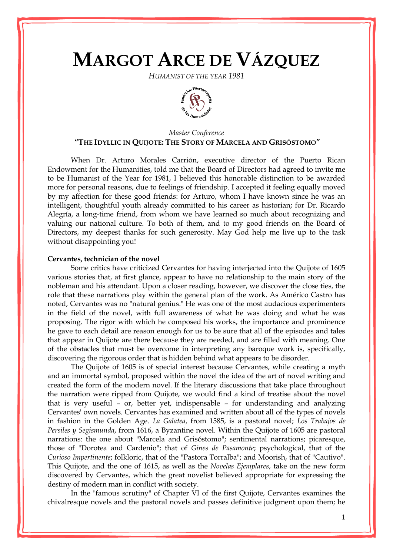# **MARGOT ARCE DE VÁZQUEZ**

*HUMANIST OF THE YEAR 1981*



## *Master Conference* **"THE IDYLLIC IN QUIJOTE: THE STORY OF MARCELA AND GRISÓSTOMO"**

When Dr. Arturo Morales Carrión, executive director of the Puerto Rican Endowment for the Humanities, told me that the Board of Directors had agreed to invite me to be Humanist of the Year for 1981, I believed this honorable distinction to be awarded more for personal reasons, due to feelings of friendship. I accepted it feeling equally moved by my affection for these good friends: for Arturo, whom I have known since he was an intelligent, thoughtful youth already committed to his career as historian; for Dr. Ricardo Alegría, a long-time friend, from whom we have learned so much about recognizing and valuing our national culture. To both of them, and to my good friends on the Board of Directors, my deepest thanks for such generosity. May God help me live up to the task without disappointing you!

### **Cervantes, technician of the novel**

Some critics have criticized Cervantes for having interjected into the Quijote of 1605 various stories that, at first glance, appear to have no relationship to the main story of the nobleman and his attendant. Upon a closer reading, however, we discover the close ties, the role that these narrations play within the general plan of the work. As Américo Castro has noted, Cervantes was no "natural genius." He was one of the most audacious experimenters in the field of the novel, with full awareness of what he was doing and what he was proposing. The rigor with which he composed his works, the importance and prominence he gave to each detail are reason enough for us to be sure that all of the episodes and tales that appear in Quijote are there because they are needed, and are filled with meaning. One of the obstacles that must be overcome in interpreting any baroque work is, specifically, discovering the rigorous order that is hidden behind what appears to be disorder.

The Quijote of 1605 is of special interest because Cervantes, while creating a myth and an immortal symbol, proposed within the novel the idea of the art of novel writing and created the form of the modern novel. If the literary discussions that take place throughout the narration were ripped from Quijote, we would find a kind of treatise about the novel that is very useful – or, better yet, indispensable – for understanding and analyzing Cervantes' own novels. Cervantes has examined and written about all of the types of novels in fashion in the Golden Age. *La Galatea*, from 1585, is a pastoral novel; *Los Trabajos de Persiles y Segismunda*, from 1616, a Byzantine novel. Within the Quijote of 1605 are pastoral narrations: the one about "Marcela and Grisóstomo"; sentimental narrations; picaresque, those of "Dorotea and Cardenio"; that of *Gines de Pasamonte*; psychological, that of the *Curioso Impertinente*; folkloric, that of the "Pastora Torralba"; and Moorish, that of "Cautivo". This Quijote, and the one of 1615, as well as the *Novelas Ejemplares*, take on the new form discovered by Cervantes, which the great novelist believed appropriate for expressing the destiny of modern man in conflict with society.

In the "famous scrutiny" of Chapter VI of the first Quijote, Cervantes examines the chivalresque novels and the pastoral novels and passes definitive judgment upon them; he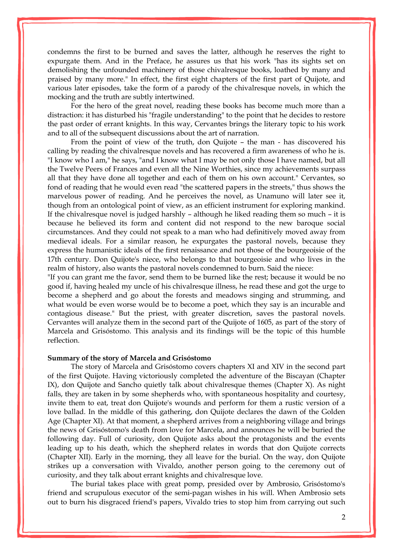condemns the first to be burned and saves the latter, although he reserves the right to expurgate them. And in the Preface, he assures us that his work "has its sights set on demolishing the unfounded machinery of those chivalresque books, loathed by many and praised by many more." In effect, the first eight chapters of the first part of Quijote, and various later episodes, take the form of a parody of the chivalresque novels, in which the mocking and the truth are subtly intertwined.

For the hero of the great novel, reading these books has become much more than a distraction: it has disturbed his "fragile understanding" to the point that he decides to restore the past order of errant knights. In this way, Cervantes brings the literary topic to his work and to all of the subsequent discussions about the art of narration.

From the point of view of the truth, don Quijote – the man - has discovered his calling by reading the chivalresque novels and has recovered a firm awareness of who he is. "I know who I am," he says, "and I know what I may be not only those I have named, but all the Twelve Peers of Frances and even all the Nine Worthies, since my achievements surpass all that they have done all together and each of them on his own account." Cervantes, so fond of reading that he would even read "the scattered papers in the streets," thus shows the marvelous power of reading. And he perceives the novel, as Unamuno will later see it, though from an ontological point of view, as an efficient instrument for exploring mankind. If the chivalresque novel is judged harshly – although he liked reading them so much – it is because he believed its form and content did not respond to the new baroque social circumstances. And they could not speak to a man who had definitively moved away from medieval ideals. For a similar reason, he expurgates the pastoral novels, because they express the humanistic ideals of the first renaissance and not those of the bourgeoisie of the 17th century. Don Quijote's niece, who belongs to that bourgeoisie and who lives in the realm of history, also wants the pastoral novels condemned to burn. Said the niece:

"If you can grant me the favor, send them to be burned like the rest; because it would be no good if, having healed my uncle of his chivalresque illness, he read these and got the urge to become a shepherd and go about the forests and meadows singing and strumming, and what would be even worse would be to become a poet, which they say is an incurable and contagious disease." But the priest, with greater discretion, saves the pastoral novels. Cervantes will analyze them in the second part of the Quijote of 1605, as part of the story of Marcela and Grisóstomo. This analysis and its findings will be the topic of this humble reflection.

## **Summary of the story of Marcela and Grisóstomo**

The story of Marcela and Grisóstomo covers chapters XI and XIV in the second part of the first Quijote. Having victoriously completed the adventure of the Biscayan (Chapter IX), don Quijote and Sancho quietly talk about chivalresque themes (Chapter X). As night falls, they are taken in by some shepherds who, with spontaneous hospitality and courtesy, invite them to eat, treat don Quijote's wounds and perform for them a rustic version of a love ballad. In the middle of this gathering, don Quijote declares the dawn of the Golden Age (Chapter XI). At that moment, a shepherd arrives from a neighboring village and brings the news of Grisóstomo's death from love for Marcela, and announces he will be buried the following day. Full of curiosity, don Quijote asks about the protagonists and the events leading up to his death, which the shepherd relates in words that don Quijote corrects (Chapter XII). Early in the morning, they all leave for the burial. On the way, don Quijote strikes up a conversation with Vivaldo, another person going to the ceremony out of curiosity, and they talk about errant knights and chivalresque love.

The burial takes place with great pomp, presided over by Ambrosio, Grisóstomo's friend and scrupulous executor of the semi-pagan wishes in his will. When Ambrosio sets out to burn his disgraced friend's papers, Vivaldo tries to stop him from carrying out such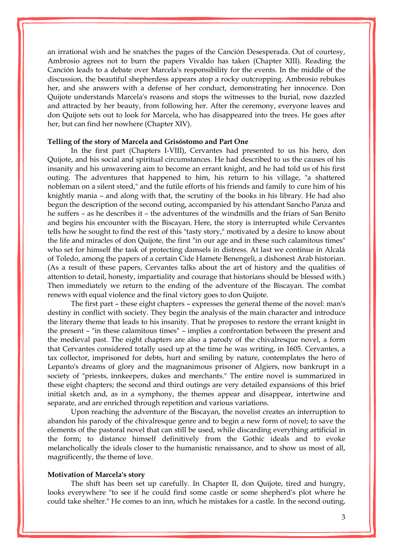an irrational wish and he snatches the pages of the Canción Desesperada. Out of courtesy, Ambrosio agrees not to burn the papers Vivaldo has taken (Chapter XIII). Reading the Canción leads to a debate over Marcela's responsibility for the events. In the middle of the discussion, the beautiful shepherdess appears atop a rocky outcropping. Ambrosio rebukes her, and she answers with a defense of her conduct, demonstrating her innocence. Don Quijote understands Marcela's reasons and stops the witnesses to the burial, now dazzled and attracted by her beauty, from following her. After the ceremony, everyone leaves and don Quijote sets out to look for Marcela, who has disappeared into the trees. He goes after her, but can find her nowhere (Chapter XIV).

## **Telling of the story of Marcela and Grisóstomo and Part One**

In the first part (Chapters I-VIII), Cervantes had presented to us his hero, don Quijote, and his social and spiritual circumstances. He had described to us the causes of his insanity and his unwavering aim to become an errant knight, and he had told us of his first outing. The adventures that happened to him, his return to his village, "a shattered nobleman on a silent steed," and the futile efforts of his friends and family to cure him of his knightly mania – and along with that, the scrutiny of the books in his library. He had also begun the description of the second outing, accompanied by his attendant Sancho Panza and he suffers – as he describes it – the adventures of the windmills and the friars of San Benito and begins his encounter with the Biscayan. Here, the story is interrupted while Cervantes tells how he sought to find the rest of this "tasty story," motivated by a desire to know about the life and miracles of don Quijote, the first "in our age and in these such calamitous times" who set for himself the task of protecting damsels in distress. At last we continue in Alcalá of Toledo, among the papers of a certain Cide Hamete Benengeli, a dishonest Arab historian. (As a result of these papers, Cervantes talks about the art of history and the qualities of attention to detail, honesty, impartiality and courage that historians should be blessed with.) Then immediately we return to the ending of the adventure of the Biscayan. The combat renews with equal violence and the final victory goes to don Quijote.

The first part – these eight chapters – expresses the general theme of the novel: man's destiny in conflict with society. They begin the analysis of the main character and introduce the literary theme that leads to his insanity. That he proposes to restore the errant knight in the present – "in these calamitous times" – implies a confrontation between the present and the medieval past. The eight chapters are also a parody of the chivalresque novel, a form that Cervantes considered totally used up at the time he was writing, in 1605. Cervantes, a tax collector, imprisoned for debts, hurt and smiling by nature, contemplates the hero of Lepanto's dreams of glory and the magnanimous prisoner of Algiers, now bankrupt in a society of "priests, innkeepers, dukes and merchants." The entire novel is summarized in these eight chapters; the second and third outings are very detailed expansions of this brief initial sketch and, as in a symphony, the themes appear and disappear, intertwine and separate, and are enriched through repetition and various variations.

Upon reaching the adventure of the Biscayan, the novelist creates an interruption to abandon his parody of the chivalresque genre and to begin a new form of novel; to save the elements of the pastoral novel that can still be used, while discarding everything artificial in the form; to distance himself definitively from the Gothic ideals and to evoke melancholically the ideals closer to the humanistic renaissance, and to show us most of all, magnificently, the theme of love.

#### **Motivation of Marcela's story**

The shift has been set up carefully. In Chapter II, don Quijote, tired and hungry, looks everywhere "to see if he could find some castle or some shepherd's plot where he could take shelter." He comes to an inn, which he mistakes for a castle. In the second outing,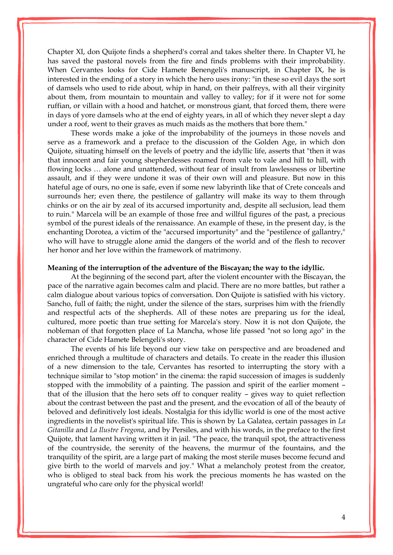Chapter XI, don Quijote finds a shepherd's corral and takes shelter there. In Chapter VI, he has saved the pastoral novels from the fire and finds problems with their improbability. When Cervantes looks for Cide Hamete Benengeli's manuscript, in Chapter IX, he is interested in the ending of a story in which the hero uses irony: "in these so evil days the sort of damsels who used to ride about, whip in hand, on their palfreys, with all their virginity about them, from mountain to mountain and valley to valley; for if it were not for some ruffian, or villain with a hood and hatchet, or monstrous giant, that forced them, there were in days of yore damsels who at the end of eighty years, in all of which they never slept a day under a roof, went to their graves as much maids as the mothers that bore them."

These words make a joke of the improbability of the journeys in those novels and serve as a framework and a preface to the discussion of the Golden Age, in which don Quijote, situating himself on the levels of poetry and the idyllic life, asserts that "then it was that innocent and fair young shepherdesses roamed from vale to vale and hill to hill, with flowing locks … alone and unattended, without fear of insult from lawlessness or libertine assault, and if they were undone it was of their own will and pleasure. But now in this hateful age of ours, no one is safe, even if some new labyrinth like that of Crete conceals and surrounds her; even there, the pestilence of gallantry will make its way to them through chinks or on the air by zeal of its accursed importunity and, despite all seclusion, lead them to ruin." Marcela will be an example of those free and willful figures of the past, a precious symbol of the purest ideals of the renaissance. An example of these, in the present day, is the enchanting Dorotea, a victim of the "accursed importunity" and the "pestilence of gallantry," who will have to struggle alone amid the dangers of the world and of the flesh to recover her honor and her love within the framework of matrimony.

#### **Meaning of the interruption of the adventure of the Biscayan; the way to the idyllic.**

At the beginning of the second part, after the violent encounter with the Biscayan, the pace of the narrative again becomes calm and placid. There are no more battles, but rather a calm dialogue about various topics of conversation. Don Quijote is satisfied with his victory. Sancho, full of faith; the night, under the silence of the stars, surprises him with the friendly and respectful acts of the shepherds. All of these notes are preparing us for the ideal, cultured, more poetic than true setting for Marcela's story. Now it is not don Quijote, the nobleman of that forgotten place of La Mancha, whose life passed "not so long ago" in the character of Cide Hamete Belengeli's story.

The events of his life beyond our view take on perspective and are broadened and enriched through a multitude of characters and details. To create in the reader this illusion of a new dimension to the tale, Cervantes has resorted to interrupting the story with a technique similar to "stop motion" in the cinema: the rapid succession of images is suddenly stopped with the immobility of a painting. The passion and spirit of the earlier moment – that of the illusion that the hero sets off to conquer reality – gives way to quiet reflection about the contrast between the past and the present, and the evocation of all of the beauty of beloved and definitively lost ideals. Nostalgia for this idyllic world is one of the most active ingredients in the novelist's spiritual life. This is shown by La Galatea, certain passages in *La Gitanilla* and *La Ilustre Fregona*, and by Persiles, and with his words, in the preface to the first Quijote, that lament having written it in jail. "The peace, the tranquil spot, the attractiveness of the countryside, the serenity of the heavens, the murmur of the fountains, and the tranquility of the spirit, are a large part of making the most sterile muses become fecund and give birth to the world of marvels and joy." What a melancholy protest from the creator, who is obliged to steal back from his work the precious moments he has wasted on the ungrateful who care only for the physical world!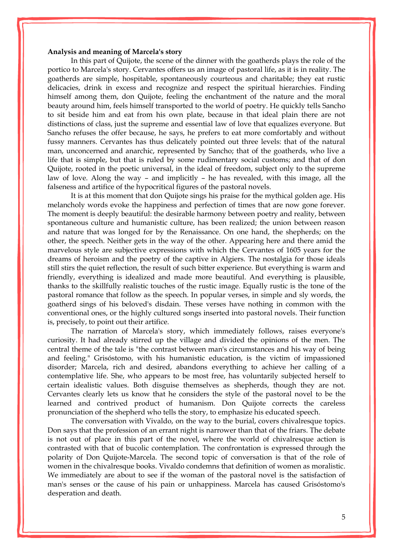#### **Analysis and meaning of Marcela's story**

In this part of Quijote, the scene of the dinner with the goatherds plays the role of the portico to Marcela's story. Cervantes offers us an image of pastoral life, as it is in reality. The goatherds are simple, hospitable, spontaneously courteous and charitable; they eat rustic delicacies, drink in excess and recognize and respect the spiritual hierarchies. Finding himself among them, don Quijote, feeling the enchantment of the nature and the moral beauty around him, feels himself transported to the world of poetry. He quickly tells Sancho to sit beside him and eat from his own plate, because in that ideal plain there are not distinctions of class, just the supreme and essential law of love that equalizes everyone. But Sancho refuses the offer because, he says, he prefers to eat more comfortably and without fussy manners. Cervantes has thus delicately pointed out three levels: that of the natural man, unconcerned and anarchic, represented by Sancho; that of the goatherds, who live a life that is simple, but that is ruled by some rudimentary social customs; and that of don Quijote, rooted in the poetic universal, in the ideal of freedom, subject only to the supreme law of love. Along the way – and implicitly – he has revealed, with this image, all the falseness and artifice of the hypocritical figures of the pastoral novels.

It is at this moment that don Quijote sings his praise for the mythical golden age. His melancholy words evoke the happiness and perfection of times that are now gone forever. The moment is deeply beautiful: the desirable harmony between poetry and reality, between spontaneous culture and humanistic culture, has been realized; the union between reason and nature that was longed for by the Renaissance. On one hand, the shepherds; on the other, the speech. Neither gets in the way of the other. Appearing here and there amid the marvelous style are subjective expressions with which the Cervantes of 1605 years for the dreams of heroism and the poetry of the captive in Algiers. The nostalgia for those ideals still stirs the quiet reflection, the result of such bitter experience. But everything is warm and friendly, everything is idealized and made more beautiful. And everything is plausible, thanks to the skillfully realistic touches of the rustic image. Equally rustic is the tone of the pastoral romance that follow as the speech. In popular verses, in simple and sly words, the goatherd sings of his beloved's disdain. These verses have nothing in common with the conventional ones, or the highly cultured songs inserted into pastoral novels. Their function is, precisely, to point out their artifice.

The narration of Marcela's story, which immediately follows, raises everyone's curiosity. It had already stirred up the village and divided the opinions of the men. The central theme of the tale is "the contrast between man's circumstances and his way of being and feeling." Grisóstomo, with his humanistic education, is the victim of impassioned disorder; Marcela, rich and desired, abandons everything to achieve her calling of a contemplative life. She, who appears to be most free, has voluntarily subjected herself to certain idealistic values. Both disguise themselves as shepherds, though they are not. Cervantes clearly lets us know that he considers the style of the pastoral novel to be the learned and contrived product of humanism. Don Quijote corrects the careless pronunciation of the shepherd who tells the story, to emphasize his educated speech.

The conversation with Vivaldo, on the way to the burial, covers chivalresque topics. Don says that the profession of an errant night is narrower than that of the friars. The debate is not out of place in this part of the novel, where the world of chivalresque action is contrasted with that of bucolic contemplation. The confrontation is expressed through the polarity of Don Quijote-Marcela. The second topic of conversation is that of the role of women in the chivalresque books. Vivaldo condemns that definition of women as moralistic. We immediately are about to see if the woman of the pastoral novel is the satisfaction of man's senses or the cause of his pain or unhappiness. Marcela has caused Grisóstomo's desperation and death.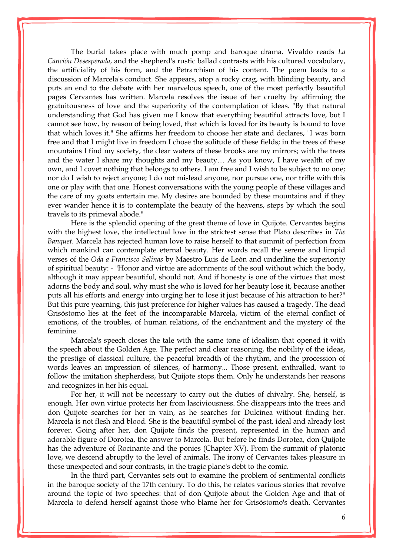The burial takes place with much pomp and baroque drama. Vivaldo reads *La Canción Desesperada*, and the shepherd's rustic ballad contrasts with his cultured vocabulary, the artificiality of his form, and the Petrarchism of his content. The poem leads to a discussion of Marcela's conduct. She appears, atop a rocky crag, with blinding beauty, and puts an end to the debate with her marvelous speech, one of the most perfectly beautiful pages Cervantes has written. Marcela resolves the issue of her cruelty by affirming the gratuitousness of love and the superiority of the contemplation of ideas. "By that natural understanding that God has given me I know that everything beautiful attracts love, but I cannot see how, by reason of being loved, that which is loved for its beauty is bound to love that which loves it." She affirms her freedom to choose her state and declares, "I was born free and that I might live in freedom I chose the solitude of these fields; in the trees of these mountains I find my society, the clear waters of these brooks are my mirrors; with the trees and the water I share my thoughts and my beauty… As you know, I have wealth of my own, and I covet nothing that belongs to others. I am free and I wish to be subject to no one; nor do I wish to reject anyone; I do not mislead anyone, nor pursue one, nor trifle with this one or play with that one. Honest conversations with the young people of these villages and the care of my goats entertain me. My desires are bounded by these mountains and if they ever wander hence it is to contemplate the beauty of the heavens, steps by which the soul travels to its primeval abode."

Here is the splendid opening of the great theme of love in Quijote. Cervantes begins with the highest love, the intellectual love in the strictest sense that Plato describes in *The Banquet*. Marcela has rejected human love to raise herself to that summit of perfection from which mankind can contemplate eternal beauty. Her words recall the serene and limpid verses of the *Oda a Francisco [Salinas](http://www.enciclopediapr.org/ing/article.cfm?ref=09041701)* by Maestro Luis de León and underline the superiority of spiritual beauty: - "Honor and virtue are adornments of the soul without which the body, although it may appear beautiful, should not. And if honesty is one of the virtues that most adorns the body and soul, why must she who is loved for her beauty lose it, because another puts all his efforts and energy into urging her to lose it just because of his attraction to her?" But this pure yearning, this just preference for higher values has caused a tragedy. The dead Grisóstomo lies at the feet of the incomparable Marcela, victim of the eternal conflict of emotions, of the troubles, of human relations, of the enchantment and the mystery of the feminine.

Marcela's speech closes the tale with the same tone of idealism that opened it with the speech about the Golden Age. The perfect and clear reasoning, the nobility of the ideas, the prestige of classical culture, the peaceful breadth of the rhythm, and the procession of words leaves an impression of silences, of harmony... Those present, enthralled, want to follow the imitation shepherdess, but Quijote stops them. Only he understands her reasons and recognizes in her his equal.

For her, it will not be necessary to carry out the duties of chivalry. She, herself, is enough. Her own virtue protects her from lasciviousness. She disappears into the trees and don Quijote searches for her in vain, as he searches for Dulcinea without finding her. Marcela is not flesh and blood. She is the beautiful symbol of the past, ideal and already lost forever. Going after her, don Quijote finds the present, represented in the human and adorable figure of Dorotea, the answer to Marcela. But before he finds Dorotea, don Quijote has the adventure of Rocinante and the ponies (Chapter XV). From the summit of platonic love, we descend abruptly to the level of animals. The irony of Cervantes takes pleasure in these unexpected and sour contrasts, in the tragic plane's debt to the comic.

In the third part, Cervantes sets out to examine the problem of sentimental conflicts in the baroque society of the 17th century. To do this, he relates various stories that revolve around the topic of two speeches: that of don Quijote about the Golden Age and that of Marcela to defend herself against those who blame her for Grisóstomo's death. Cervantes